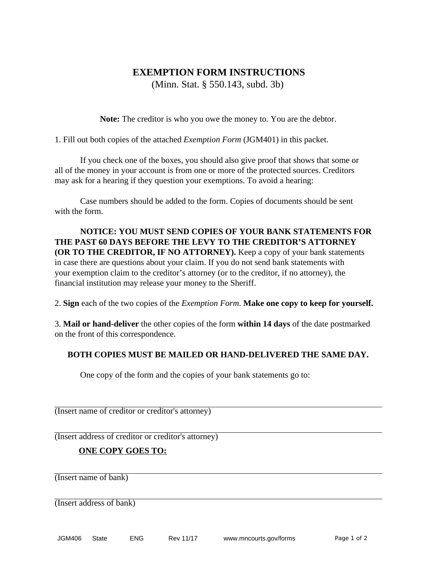# **EXEMPTION FORM INSTRUCTIONS**

(Minn. Stat. § 550.143, subd. 3b)

**Note:** The creditor is who you owe the money to. You are the debtor.

1. Fill out both copies of the attached *Exemption Form* (JGM401) in this packet.

 If you check one of the boxes, you should also give proof that shows that some or all of the money in your account is from one or more of the protected sources. Creditors may ask for a hearing if they question your exemptions. To avoid a hearing:

 Case numbers should be added to the form. Copies of documents should be sent with the form.

 **NOTICE: YOU MUST SEND COPIES OF YOUR BANK STATEMENTS FOR THE PAST 60 DAYS BEFORE THE LEVY TO THE CREDITOR'S ATTORNEY (OR TO THE CREDITOR, IF NO ATTORNEY).** Keep a copy of your bank statements in case there are questions about your claim. If you do not send bank statements with your exemption claim to the creditor's attorney (or to the creditor, if no attorney), the financial institution may release your money to the Sheriff.

2. **Sign** each of the two copies of the *Exemption Form*. **Make one copy to keep for yourself.** 

3. **Mail or hand-deliver** the other copies of the form **within 14 days** of the date postmarked on the front of this correspondence.

## **BOTH COPIES MUST BE MAILED OR HAND-DELIVERED THE SAME DAY.**

One copy of the form and the copies of your bank statements go to:

(Insert name of creditor or creditor's attorney)

(Insert address of creditor or creditor's attorney)

## **ONE COPY GOES TO:**

(Insert name of bank)

(Insert address of bank)